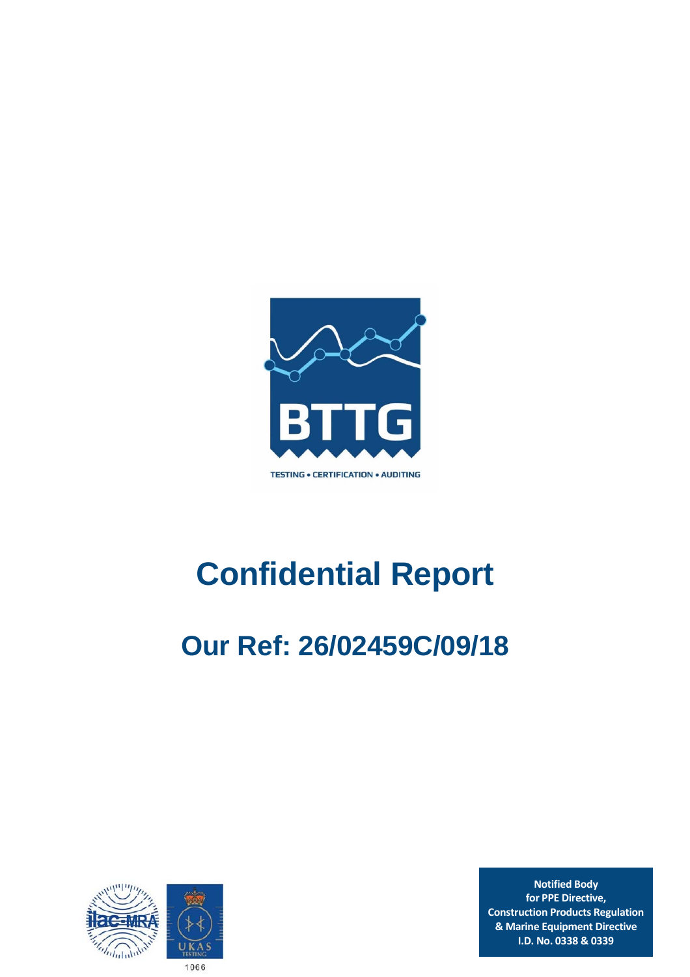

# **Confidential Report**

## **Our Ref: 26/02459C/09/18**



**Notified Body for PPE Directive, Construction Products Regulation & Marine Equipment Directive I.D. No. 0338 & 0339**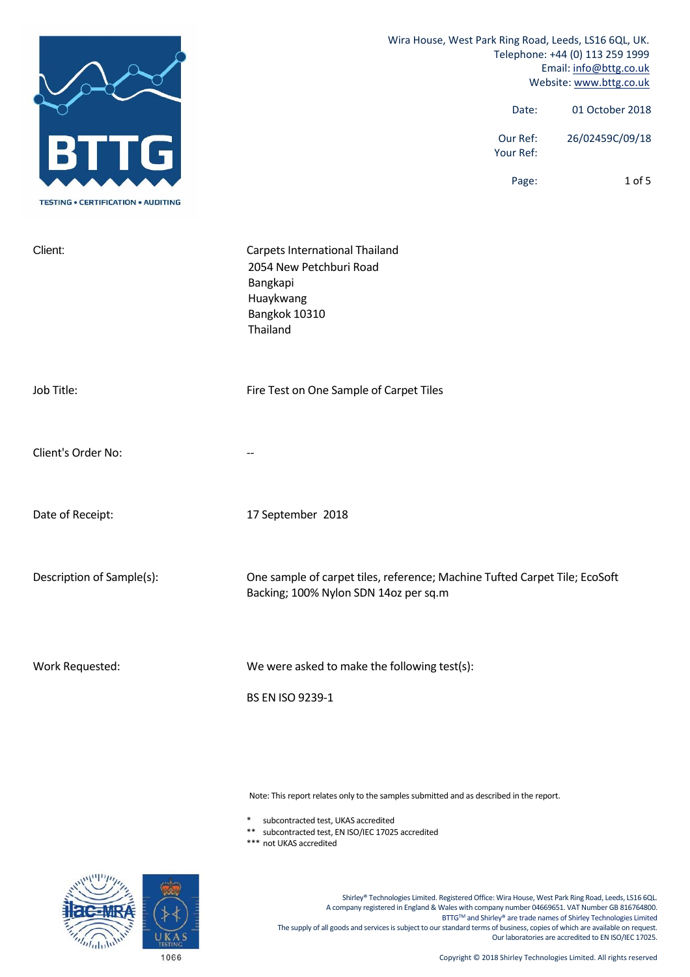|                                           | Wira House, West Park Ring Road, Leeds, LS16 6QL, UK.<br>Telephone: +44 (0) 113 259 1999<br>Email: info@bttg.co.uk<br>Website: www.bttg.co.uk |  |  |
|-------------------------------------------|-----------------------------------------------------------------------------------------------------------------------------------------------|--|--|
|                                           | 01 October 2018<br>Date:                                                                                                                      |  |  |
|                                           | Our Ref:<br>26/02459C/09/18<br>Your Ref:                                                                                                      |  |  |
| <b>TESTING • CERTIFICATION • AUDITING</b> | $1$ of $5$<br>Page:                                                                                                                           |  |  |
| Client:                                   | Carpets International Thailand<br>2054 New Petchburi Road<br>Bangkapi<br>Huaykwang<br>Bangkok 10310<br>Thailand                               |  |  |
| Job Title:                                | Fire Test on One Sample of Carpet Tiles                                                                                                       |  |  |
| Client's Order No:                        |                                                                                                                                               |  |  |
| Date of Receipt:                          | 17 September 2018                                                                                                                             |  |  |
| Description of Sample(s):                 | One sample of carpet tiles, reference; Machine Tufted Carpet Tile; EcoSoft<br>Backing; 100% Nylon SDN 14oz per sq.m                           |  |  |
| Work Requested:                           | We were asked to make the following test(s):<br>BS EN ISO 9239-1                                                                              |  |  |

Note: This report relates only to the samples submitted and as described in the report.

\* subcontracted test, UKAS accredited

\*\* subcontracted test, EN ISO/IEC 17025 accredited

\*\*\* not UKAS accredited

Shirley® Technologies Limited. Registered Office: Wira House, West Park Ring Road, Leeds, LS16 6QL. A company registered in England & Wales with company number 04669651. VAT Number GB 816764800. BTTG™ and Shirley® are trade names of Shirley Technologies Limited The supply of all goods and services is subject to our standard terms of business, copies of which are available on request. Our laboratories are accredited to EN ISO/IEC 17025.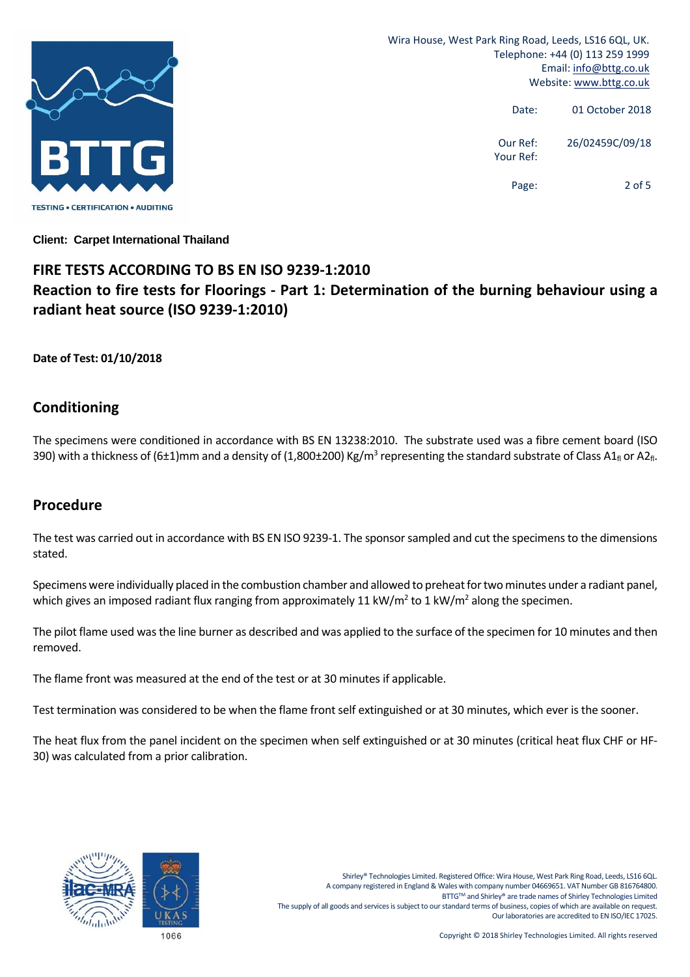

Wira House, West Park Ring Road, Leeds, LS16 6QL, UK. Telephone: +44 (0) 113 259 1999 Email: info@bttg.co.uk Website: www.bttg.co.uk

> Date: 01 October 2018 Our Ref: 26/02459C/09/18 Your Ref: Page: 2 of 5

**Client: Carpet International Thailand** 

#### **FIRE TESTS ACCORDING TO BS EN ISO 9239‐1:2010 Reaction to fire tests for Floorings ‐ Part 1: Determination of the burning behaviour using a radiant heat source (ISO 9239‐1:2010)**

#### **Date of Test: 01/10/2018**

#### **Conditioning**

The specimens were conditioned in accordance with BS EN 13238:2010. The substrate used was a fibre cement board (ISO 390) with a thickness of (6±1)mm and a density of (1,800±200) Kg/m<sup>3</sup> representing the standard substrate of Class A1<sub>fl</sub> or A2<sub>fl</sub>.

#### **Procedure**

The test was carried out in accordance with BS EN ISO 9239-1. The sponsor sampled and cut the specimens to the dimensions stated.

Specimens were individually placed in the combustion chamber and allowed to preheat for two minutes under a radiant panel, which gives an imposed radiant flux ranging from approximately 11 kW/m<sup>2</sup> to 1 kW/m<sup>2</sup> along the specimen.

The pilot flame used wasthe line burner as described and was applied to the surface of the specimen for 10 minutes and then removed.

The flame front was measured at the end of the test or at 30 minutes if applicable.

Test termination was considered to be when the flame front self extinguished or at 30 minutes, which ever is the sooner.

The heat flux from the panel incident on the specimen when self extinguished or at 30 minutes (critical heat flux CHF or HF‐ 30) was calculated from a prior calibration.

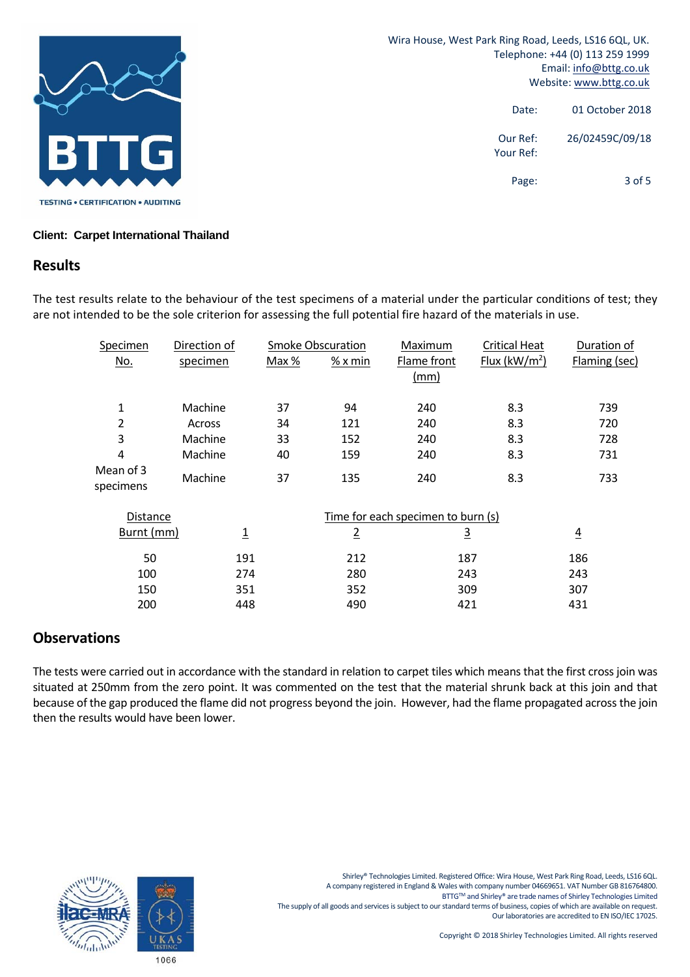

#### **Client: Carpet International Thailand**

#### **Results**

The test results relate to the behaviour of the test specimens of a material under the particular conditions of test; they are not intended to be the sole criterion for assessing the full potential fire hazard of the materials in use.

| Specimen               | Direction of   |         | <b>Smoke Obscuration</b> | Maximum                            | <b>Critical Heat</b> | Duration of    |
|------------------------|----------------|---------|--------------------------|------------------------------------|----------------------|----------------|
| <u>No.</u>             | specimen       | Max $%$ | $%x$ min                 | Flame front<br>(mm)                | Flux ( $kW/m2$ )     | Flaming (sec)  |
| 1                      | Machine        | 37      | 94                       | 240                                | 8.3                  | 739            |
| 2                      | Across         | 34      | 121                      | 240                                | 8.3                  | 720            |
| 3                      | Machine        | 33      | 152                      | 240                                | 8.3                  | 728            |
| 4                      | Machine        | 40      | 159                      | 240                                | 8.3                  | 731            |
| Mean of 3<br>specimens | Machine        | 37      | 135                      | 240                                | 8.3                  | 733            |
| Distance               |                |         |                          | Time for each specimen to burn (s) |                      |                |
| Burnt (mm)             | $\overline{1}$ |         | $\overline{2}$           | $\overline{3}$                     |                      | $\overline{4}$ |
| 50                     | 191            |         | 212                      | 187                                |                      | 186            |
| 100                    | 274            |         | 280                      | 243                                |                      | 243            |
| 150                    | 351            |         | 352                      | 309                                |                      | 307            |
| 200                    | 448            |         | 490                      | 421                                |                      | 431            |

#### **Observations**

The tests were carried out in accordance with the standard in relation to carpet tiles which means that the first cross join was situated at 250mm from the zero point. It was commented on the test that the material shrunk back at this join and that because of the gap produced the flame did not progress beyond the join. However, had the flame propagated across the join then the results would have been lower.

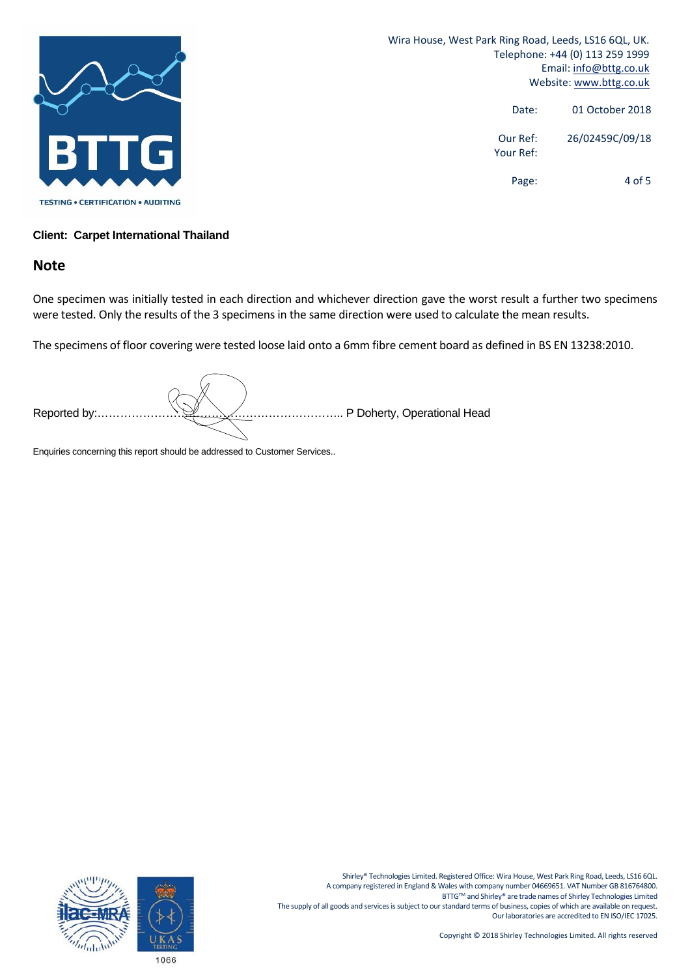

Wira House, West Park Ring Road, Leeds, LS16 6QL, UK. Telephone: +44 (0) 113 259 1999 Email: info@bttg.co.uk Website: www.bttg.co.uk

| 01 October 2018 | Date:                 |
|-----------------|-----------------------|
| 26/02459C/09/18 | Our Ref:<br>Your Ref: |
| 4 of 5          | Page:                 |

#### **Client: Carpet International Thailand**

#### **Note**

One specimen was initially tested in each direction and whichever direction gave the worst result a further two specimens were tested. Only the results of the 3 specimens in the same direction were used to calculate the mean results.

The specimens of floor covering were tested loose laid onto a 6mm fibre cement board as defined in BS EN 13238:2010.

Enquiries concerning this report should be addressed to Customer Services..